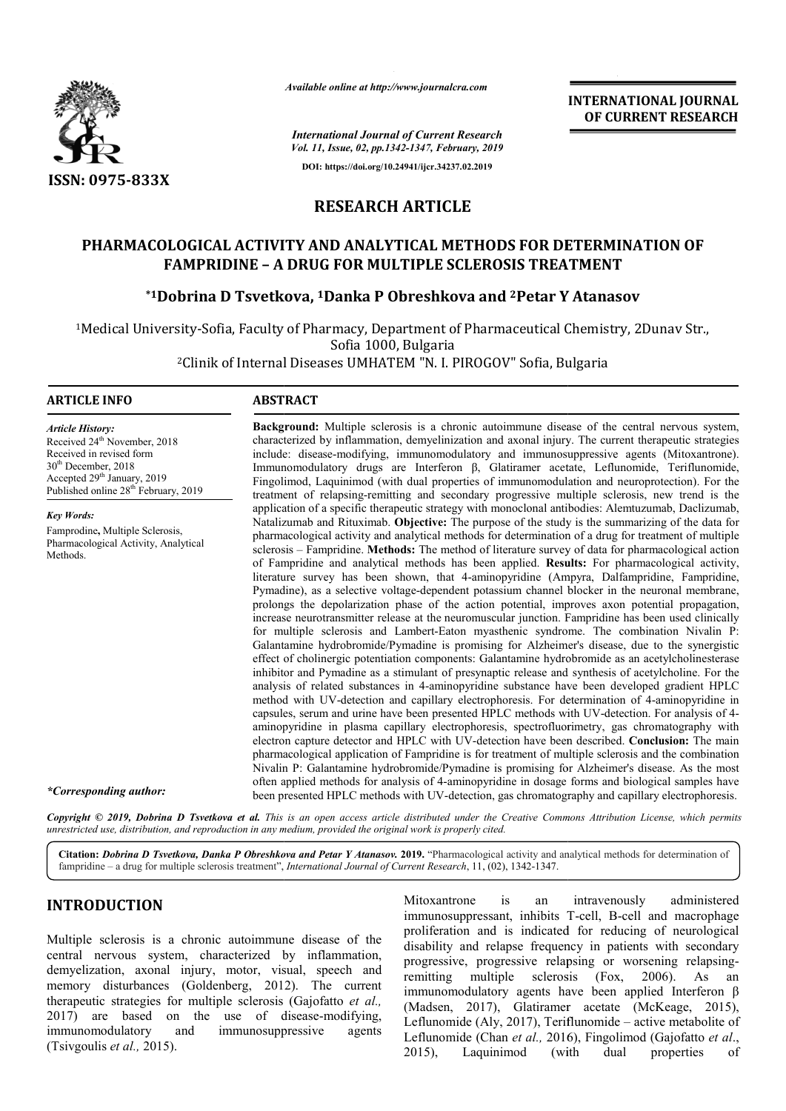

*Available online at http://www.journalcra.com*

**INTERNATIONAL JOURNAL OF CURRENT RESEARCH**

*Vol. 11, Issue, 02, pp.1342-1347, February, 2019* **DOI: https://doi.org/10.24941/ijcr.34237.02.2019**

*International Journal of Current Research*

# **RESEARCH ARTICLE**

## **PHARMACOLOGICAL ACTIVITY AND ANALYTICAL METHODS FOR DETERMINATION OF FAMPRIDINE – A DRUG FOR MULTIPLE SCLEROSIS TREATMENT**

# **\*1Dobrina D Tsvetkova Tsvetkova, 1Danka P Obreshkova and 2Petar Y A DRUG FOR MULTIPLE SCLEROSIS TREATMENTAtanasov**

1Medical University-Sofia, Faculty of Pharmacy, Department of Pharmaceutical Chemistry Sofia, Sofia 1000, Bulgaria Chemistry, 2Dunav Str.,

<sup>2</sup>Clinik of Internal Diseases UMHATEM "N. I. PIROGOV" Sofia, Bulgaria

### **ARTICLE INFO ABSTRACT**

*Article History:* Received 24<sup>th</sup> November, 2018 Received in revised form 30<sup>th</sup> December, 2018 Accepted 29<sup>th</sup> January, 2019 Published online 28<sup>th</sup> February, 2019

*Key Words:* Famprodine**,** Multiple Sclerosis, Pharmacological Activity, Analytical Methods.

**Background:** Multiple sclerosis is a chronic autoimmune disease of the central nervous system, characterized by inflammation, demyelinization and axonal injury. The current therapeutic strategies include: disease-modifying, immunomodulatory and immunosuppressive agents (Mitoxantrone). Immunomodulatory drugs are Interferon β, Glatiramer acetate, Leflunomide, Teriflunomide, Fingolimod, Laquinimod (with dual properties of immunomodulation and neuroprotection). For the treatment of relapsing-remitting and secondary progressive multiple sclerosis, new trend is the application of a specific therapeutic strategy with monoclonal antibodies: Alemtuzumab, Daclizumab, Natalizumab and Rituximab. **Objective:** The purpose of the study pharmacological activity and analytical methods for determination of a drug for treatment of multiple pharmacological activity and analytical methods for determination of a drug for treatment of multiple<br>sclerosis – Fampridine. Methods: The method of literature survey of data for pharmacological action of Fampridine and analytical methods has been applied. **Results:** For pharmacological activity, literature survey has been shown, that 4 4-aminopyridine (Ampyra, Dalfampridine, Fampridine, Pymadine), as a selective voltage-dependent potassium channel blocker in the neuronal membrane, prolongs the depolarization phase of the action potential, improves axon potential propagation, increase neurotransmitter release at the neuromuscular junction. Fampridine has been used clinically literature survey has been shown, that 4-aminopyridine (Ampyra, Dalfampridine, Fampridine, Pymadine), as a selective voltage-dependent potassium channel blocker in the neuronal membrane, prolongs the depolarization phase o Galantamine hydrobromide/ hydrobromide/Pymadine is promising for Alzheimer's disease, Alzheimer's due to the synergistic effect of cholinergic potentiation components: Galantamine hydrobromide as an acetylcholinesterase effect of cholinergic potentiation components: Galantamine hydrobromide as an acetylcholinesterase<br>inhibitor and Pymadine as a stimulant of presynaptic release and synthesis of acetylcholine. For the analysis of related substances in 4 4-aminopyridine substance have been developed gradient HPLC analysis of related substances in 4-aminopyridine substance have been developed gradient HPLC<br>method with UV-detection and capillary electrophoresis. For determination of 4-aminopyridine in capsules, serum and urine have been presented HPLC methods with UV-detection. For analysis of 4aminopyridine in plasma capillary electrophoresis, spectrofluorimetry, gas chromatography with electron capture detector and HPLC with UV-detection have been described. **Conclusion:** The main electron capture detector and HPLC with UV-detection have been d pharmacological application of Fampridine is for treatment of multiple sclerosis and the combination Nivalin P: Galantamine hydrobromide/Pymadine is promising for Alzheimer's disease. As the most often applied methods for analysis of 4-aminopyridine in dosage forms and biological samples have often applied methods for analysis of 4-aminopyridine in dosage forms and biological samples have<br>been presented HPLC methods with UV-detection, gas chromatography and capillary electrophoresis. include: disease-modifying, immunomodulatory and immunosuppressive agents (Mitoxantrone).<br>Immunomodulatory drugs are Interferon  $\beta$ , Glatiramer acetate, Leflunomide, Teriflunomide,<br>Fingolimod, Laquinimod (with dual proper INTERNATIONAL JOURNAL<br>
Features, 2019<br>
Features, 2019<br>
Features, 2019<br>
Features, 2019<br>
Features, 2019<br>
HASS-02.2019<br>
ICLE<br>
LAMETHODS FOR DETERMINATION OF<br>
ICLE<br>
LAMETHODS FOR DETERMINATION OF<br>
ICLE<br>
ICLE<br>
COLEROSIS TREATME

**Background Background:** Multiple sclerosis is a chronic autoimmune disease of the central nervous system,

Copyright © 2019, Dobrina D Tsvetkova et al. This is an open access article distributed under the Creative Commons Attribution License, which permits *unrestricted use, distribution, and reproduction in any medium, provided the original work is properly cited.*

Citation: *Dobrina D Tsvetkova, Danka P Obreshkova and Petar Y Atanasov. 2019. "Pharmacological activity and analytical methods for determination of* fampridine – a drug for multiple sclerosis treatment", , *International Journal of Current Research*, 11, (02), 1342-1347.

## **INTRODUCTION**

*\*Corresponding author:*

Multiple sclerosis is a chronic autoimmune disease of the central nervous system, characterized by inflammation, demyelization, axonal injury, motor, visual, speech and memory disturbances (Goldenberg, 2012). The current therapeutic strategies for multiple sclerosis (Gajofatto et al., 2017) are based on the use of disease-modifying, immunomodulatory and immunosuppressive agents (Tsivgoulis *et al.,* 2015).

**INTRODUCTION**<br>
Multiple sclerosis is a chronic autoimmune disease of the<br>
Multiple sclerosis is a chronic autoimmune disease of the<br>
tentral nervous system, characterized by inflammation,<br>
lemyelization, axonal injury, m immunosuppressant, inhibits T-cell, B-cell and macrophage proliferation and is indicated for reducing of neurological disability and relapse frequency in patients with secondary proliferation and is indicated for reducing of neurological<br>disability and relapse frequency in patients with secondary<br>progressive, progressive relapsing or worsening relapsingremitting multiple sclerosis immunomodulatory agents have been applied Interferon β immunomodulatory agents have been applied Interferon  $\beta$  (Madsen, 2017), Glatiramer acetate (McKeage, 2015), Leflunomide (Aly, 2017), Teriflunomide – active metabolite of Leflunomide (Chan et al., 2016), Fingolimod (Gajofatto et al., 2015), Laquinimod (with dual properties of (Fox, 2006). As an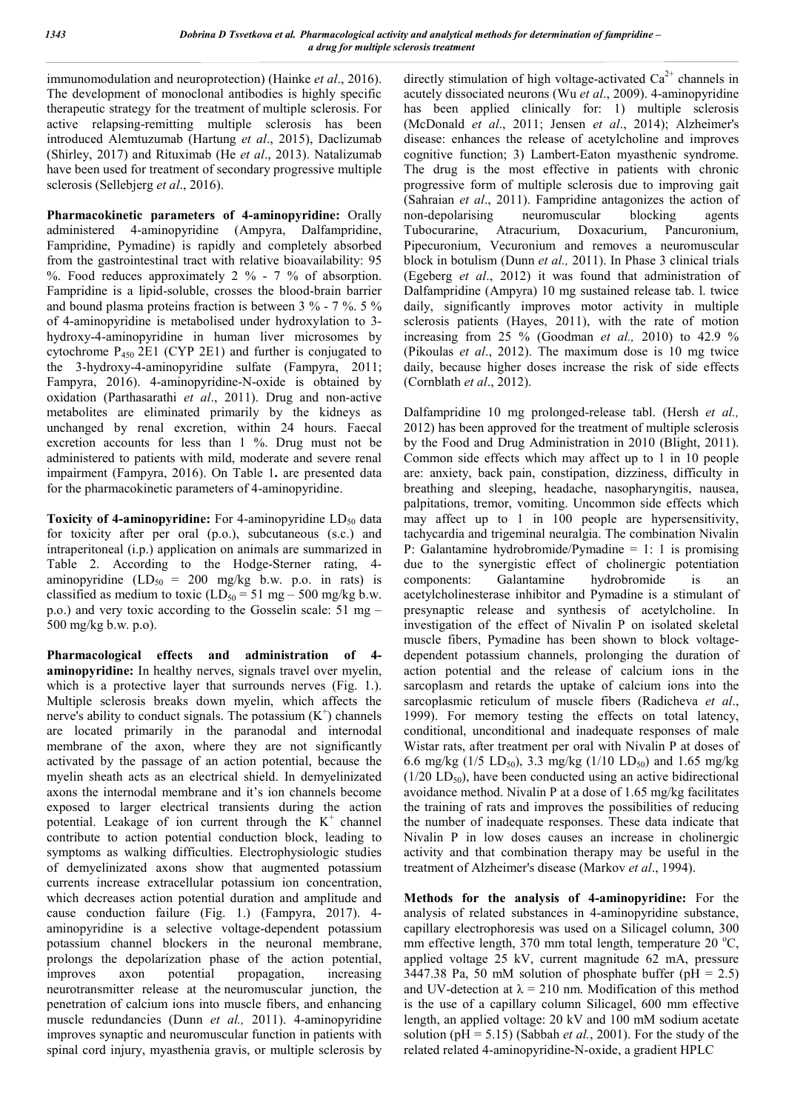immunomodulation and neuroprotection) (Hainke *et al*., 2016). The development of monoclonal antibodies is highly specific therapeutic strategy for the treatment of multiple sclerosis. For active relapsing-remitting multiple sclerosis has been introduced Alemtuzumab (Hartung *et al*., 2015), Daclizumab (Shirley, 2017) and Rituximab (He *et al*., 2013). Natalizumab have been used for treatment of secondary progressive multiple sclerosis (Sellebjerg *et al*., 2016).

**Pharmacokinetic parameters of 4-aminopyridine:** Orally administered 4-aminopyridine (Ampyra, Dalfampridine, Fampridine, Pymadine) is rapidly and completely absorbed from the gastrointestinal tract with relative bioavailability: 95 %. Food reduces approximately 2 % - 7 % of absorption. Fampridine is a lipid-soluble, crosses the blood-brain barrier and bound plasma proteins fraction is between 3 % - 7 %. 5 % of 4-aminopyridine is metabolised under hydroxylation to 3 hydroxy-4-aminopyridine in human liver microsomes by cytochrome  $P_{450}$  2E1 (CYP 2E1) and further is conjugated to the 3-hydroxy-4-aminopyridine sulfate (Fampyra, 2011; Fampyra, 2016). 4-aminopyridine-N-oxide is obtained by oxidation (Parthasarathi *et al*., 2011). Drug and non-active metabolites are eliminated primarily by the kidneys as unchanged by renal excretion, within 24 hours. Faecal excretion accounts for less than 1 %. Drug must not be administered to patients with mild, moderate and severe renal impairment (Fampyra, 2016). On Table 1**.** are presented data for the pharmacokinetic parameters of 4-aminopyridine.

**Toxicity of 4-aminopyridine:** For 4-aminopyridine LD<sub>50</sub> data for toxicity after per oral (p.o.), subcutaneous (s.c.) and intraperitoneal (i.p.) application on animals are summarized in Table 2. According to the Hodge-Sterner rating, 4 aminopyridine  $(LD_{50} = 200 \text{ mg/kg}$  b.w. p.o. in rats) is classified as medium to toxic  $(LD_{50} = 51 \text{ mg} - 500 \text{ mg/kg b.w.})$ p.o.) and very toxic according to the Gosselin scale: 51 mg – 500 mg/kg b.w. p.o).

**Pharmacological effects and administration of 4 aminopyridine:** In healthy nerves, signals travel over myelin, which is a protective layer that surrounds nerves (Fig. 1.). Multiple sclerosis breaks down myelin, which affects the nerve's ability to conduct signals. The potassium  $(K^+)$  channels are located primarily in the paranodal and internodal membrane of the axon, where they are not significantly activated by the passage of an action potential, because the myelin sheath acts as an electrical shield. In demyelinizated axons the internodal membrane and it's ion channels become exposed to larger electrical transients during the action potential. Leakage of ion current through the  $K^+$  channel contribute to action potential conduction block, leading to symptoms as walking difficulties. Electrophysiologic studies of demyelinizated axons show that augmented potassium currents increase extracellular potassium ion concentration, which decreases action potential duration and amplitude and cause conduction failure (Fig. 1.) (Fampyra, 2017). 4 aminopyridine is a selective voltage-dependent potassium potassium channel blockers in the neuronal membrane, prolongs the depolarization phase of the action potential, improves axon potential propagation, increasing neurotransmitter release at the neuromuscular junction, the penetration of calcium ions into muscle fibers, and enhancing muscle redundancies (Dunn *et al.,* 2011). 4-aminopyridine improves synaptic and neuromuscular function in patients with spinal cord injury, myasthenia gravis, or multiple sclerosis by

directly stimulation of high voltage-activated  $Ca^{2+}$  channels in acutely dissociated neurons (Wu *et al*., 2009). 4-aminopyridine has been applied clinically for: 1) multiple sclerosis (McDonald *et al*., 2011; Jensen *et al*., 2014); Alzheimer's disease: enhances the release of acetylcholine and improves cognitive function; 3) Lambert-Eaton myasthenic syndrome. The drug is the most effective in patients with chronic progressive form of multiple sclerosis due to improving gait (Sahraian *et al*., 2011). Fampridine antagonizes the action of non-depolarising neuromuscular blocking agents Tubocurarine, Atracurium, Doxacurium, Pancuronium, Pipecuronium, Vecuronium and removes a neuromuscular block in botulism (Dunn *et al.,* 2011). In Phase 3 clinical trials (Egeberg *et al*., 2012) it was found that administration of Dalfampridine (Ampyra) 10 mg sustained release tab. l. twice daily, significantly improves motor activity in multiple sclerosis patients (Hayes, 2011), with the rate of motion increasing from 25 % (Goodman *et al.,* 2010) to 42.9 % (Pikoulas *et al*., 2012). The maximum dose is 10 mg twice daily, because higher doses increase the risk of side effects (Cornblath *et al*., 2012).

Dalfampridine 10 mg prolonged-release tabl. (Hersh *et al.,*  2012) has been approved for the treatment of multiple sclerosis by the Food and Drug Administration in 2010 (Blight, 2011). Common side effects which may affect up to 1 in 10 people are: anxiety, back pain, constipation, dizziness, difficulty in breathing and sleeping, headache, nasopharyngitis, nausea, palpitations, tremor, vomiting. Uncommon side effects which may affect up to 1 in 100 people are hypersensitivity, tachycardia and trigeminal neuralgia. The combination Nivalin P: Galantamine hydrobromide/Pymadine = 1: 1 is promising due to the synergistic effect of cholinergic potentiation components: Galantamine hydrobromide is an acetylcholinesterase inhibitor and Pymadine is a stimulant of presynaptic release and synthesis of acetylcholine. In investigation of the effect of Nivalin P on isolated skeletal muscle fibers, Pymadine has been shown to block voltagedependent potassium channels, prolonging the duration of action potential and the release of calcium ions in the sarcoplasm and retards the uptake of calcium ions into the sarcoplasmic reticulum of muscle fibers (Radicheva *et al*., 1999). For memory testing the effects on total latency, conditional, unconditional and inadequate responses of male Wistar rats, after treatment per oral with Nivalin P at doses of 6.6 mg/kg (1/5 LD<sub>50</sub>), 3.3 mg/kg (1/10 LD<sub>50</sub>) and 1.65 mg/kg  $(1/20 \text{ LD}_{50})$ , have been conducted using an active bidirectional avoidance method. Nivalin P at a dose of 1.65 mg/kg facilitates the training of rats and improves the possibilities of reducing the number of inadequate responses. These data indicate that Nivalin P in low doses causes an increase in cholinergic activity and that combination therapy may be useful in the treatment of Alzheimer's disease (Markov *et al*., 1994).

**Methods for the analysis of 4-aminopyridine:** For the analysis of related substances in 4-aminopyridine substance, capillary electrophoresis was used on a Silicagel column, 300 mm effective length, 370 mm total length, temperature 20 °C, applied voltage 25 kV, current magnitude 62 mA, pressure 3447.38 Pa, 50 mM solution of phosphate buffer (pH =  $2.5$ ) and UV-detection at  $\lambda = 210$  nm. Modification of this method is the use of a capillary column Silicagel, 600 mm effective length, an applied voltage: 20 kV and 100 mM sodium acetate solution (pH = 5.15) (Sabbah *et al.*, 2001). For the study of the related related 4-aminopyridine-N-oxide, a gradient HPLC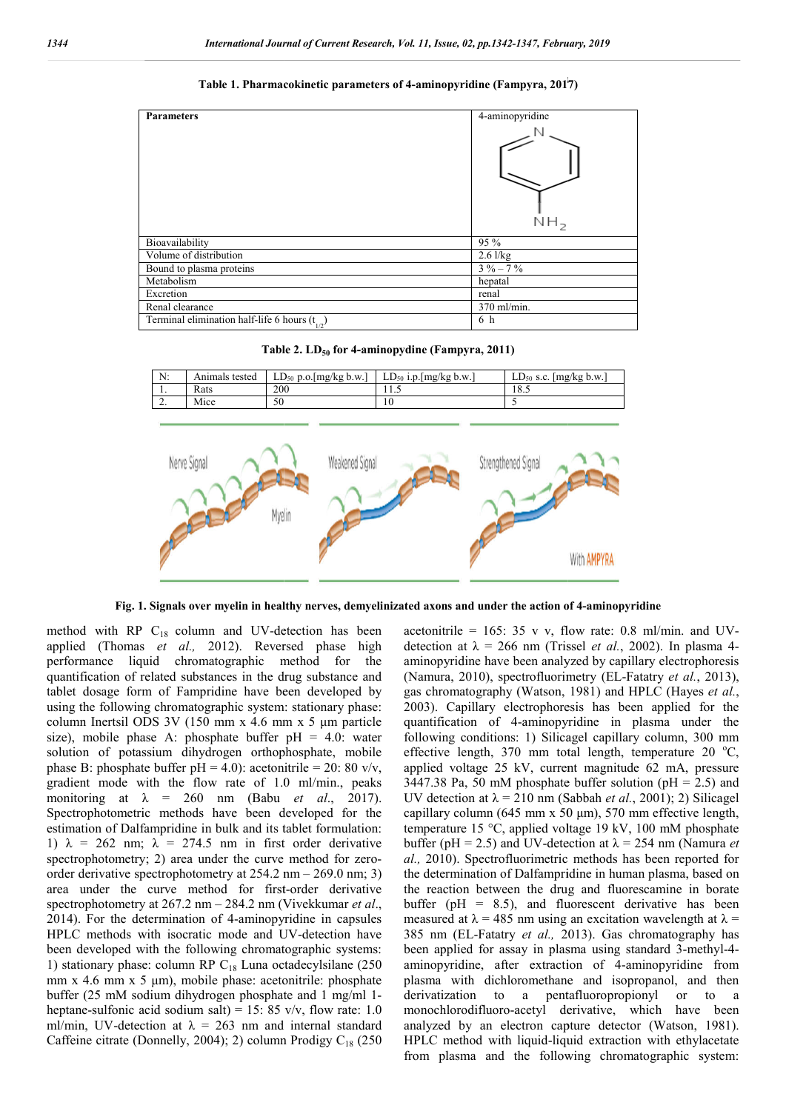

Table 1. Pharmacokinetic parameters of 4-aminopyridine (Fampyra, 2017)

**Table 2 2. LD50 for 4-aminopydine (Fampyra, 2011)**





**Fig. 1. Signals over myelin in healthy nerves, demyelinizated axons and unde under the action of 4 r 4-aminopyridine**

method with RP  $C_{18}$  column and UV-detection has been applied (Thomas *et al.,* 2012). Reversed phase high performance liquid chromatographic method for the quantification of related substances in the drug substance and tablet dosage form of Fampridine have been developed by using the following chromatographic system: stationary phase: column Inertsil ODS 3V (150 mm x 4.6 mm x 5 μm particle size), mobile phase A: phosphate buffer pH = 4.0: water solution of potassium dihydrogen orthophosphate, mobile phase B: phosphate buffer  $pH = 4.0$ ): acetonitrile = 20: 80 v/v, gradient mode with the flow rate of 1.0 ml/min., peaks monitoring at λ = 260 nm (Babu *et al*., 2017). Spectrophotometric methods have been developed for the estimation of Dalfampridine in bulk and its tablet formulation: 1)  $\lambda = 262$  nm;  $\lambda = 274.5$  nm in first order derivative 1)  $\lambda = 262$  nm;  $\lambda = 274.5$  nm in first order derivative spectrophotometry; 2) area under the curve method for zeroorder derivative spectrophotometry at 254.2 nm – 269.0 nm; 3) area under the curve method for first first-order derivative spectrophotometry at 267.2 nm – 284.2 nm (Vivekkumar Vivekkumar *et al*., 2014). For the determination of 4-aminopyridine in capsules 2014). For the determination of 4-aminopyridine in capsules HPLC methods with isocratic mode and UV-detection have been developed with the following chromatographic systems: 1) stationary phase: column RP  $C_{18}$  Luna octadecylsilane (250 mm x 4.6 mm x 5  $\mu$ m), mobile phase: acetonitrile: phosphate buffer (25 mM sodium dihydrogen phosphate and 1 mg/ml 1 1 heptane-sulfonic acid sodium salt) = 15: 85 v/v, flow rate: 1.0 ml/min, UV-detection at  $\lambda = 263$  nm and internal standard ml/min, UV-detection at  $\lambda = 263$  nm and internal standard Caffeine citrate (Donnelly, 2004); 2) column Prodigy C<sub>18</sub> (250 thod with RP  $C_{18}$  column and UV-detection<br>plied (Thomas *et al.*, 2012). Reversed pl<br>formance liquid chromatographic method<br>antification of related substances in the drug sub<br>let dosage form of Fampridine have been dev omatographic systems:<br>na octadecylsilane (250<br>acetonitrile: phosphate acetonitrile = 165: 35 v v, flow rate: 0.8 ml/min. and UVdetection at  $\lambda = 266$  nm (Trissel *et al.*, 2002). In plasma 4aminopyridine have been analyzed by capillary electrophoresis (Namura, 2010), spectrofluorimetry (EL-Fatatry *et al.*, 2013), (Namura, 2010), spectrofluorimetry (EL-Fatatry et al., 2013), gas chromatography (Watson, 1981) and HPLC (Hayes et al., 2003). Capillary electrophoresis has been applied for the quantification of 4-aminopyridine in plasma under the following conditions: 1) Silicagel capillary column, 300 mm 2003). Capillary electrophoresis has been applied for the quantification of 4-aminopyridine in plasma under the following conditions: 1) Silicagel capillary column, 300 mm effective length, 370 mm total length, temperatur applied voltage 25 kV, current magnitude 62 mA, pressure 3447.38 Pa, 50 mM phosphate buffer solution (pH = 2.5) and UV detection at  $\lambda$  = 210 nm (Sabbah *et al.*, 2001); 2) Silicagel UV detection at  $\lambda = 210$  nm (Sabbah *et al.*, 2001); 2) Silicagel capillary column (645 mm x 50 μm), 570 mm effective length, capillary column (645 mm x 50 µm), 570 mm effective length, temperature 15 °C, applied voltage 19 kV, 100 mM phosphate buffer (pH = 2.5) and UV-detection at  $\lambda$  = 254 nm (Namura *et* al., 2010). Spectrofluorimetric methods has been reported for the determination of Dalfampridine in human plasma, based on the reaction between the drug and fluorescamine in borate buffer ( $pH = 8.5$ ), and fluorescent derivative has been measured at  $\lambda = 485$  nm using an excitation wavelength at  $\lambda =$ 385 nm (EL-Fatatry *et al.,* 2013 been applied for assay in plasma using standard 3-methyl-4aminopyridine, after extraction of 4 4-aminopyridine from plasma with dichloromethane and isopropanol, and then derivatization to a pentafluoropropionyl or to a monochlorodifluoro-acetyl derivative, which have been analyzed by an electron capture detector (Watson, 1981). derivatization to a pentafluoropropionyl or to a monochlorodifluoro-acetyl derivative, which have been analyzed by an electron capture detector (Watson, 1981). HPLC method with liquid-liquid extraction with ethylacetate from plasma and the following chromatographic system: = 8.5), and fluorescent derivative has been  $\lambda$  = 485 nm using an excitation wavelength at  $\lambda$  = -Fatatry *et al.*, 2013). Gas chromatography has **Extraction Controlling (Fampyra, 2017)**<br> **Extraction with the controlling of the controlling of the controlling of the same of the plasma charge of the plasma charge of the plasma charge of the controlling of the controll**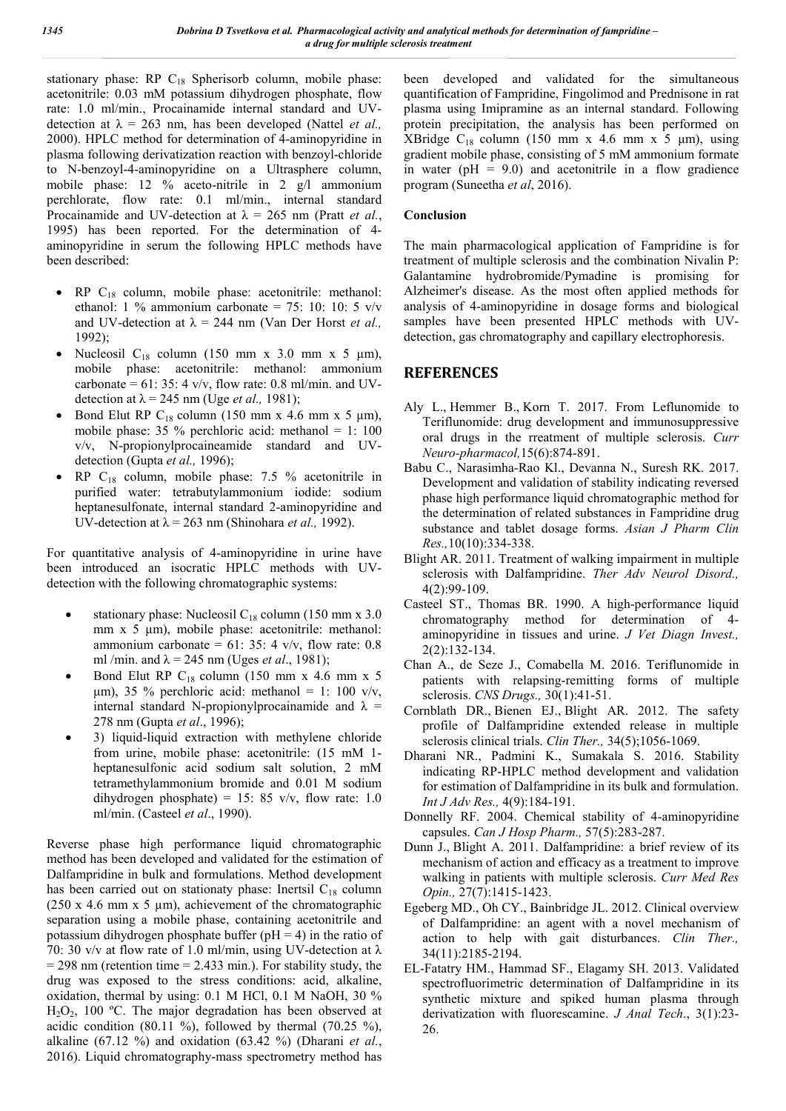stationary phase: RP C<sub>18</sub> Spherisorb column, mobile phase: acetonitrile: 0.03 mM potassium dihydrogen phosphate, flow rate: 1.0 ml/min., Procainamide internal standard and UVdetection at  $\lambda = 263$  nm, has been developed (Nattel *et al.*, 2000). HPLC method for determination of 4-aminopyridine in plasma following derivatization reaction with benzoyl-chloride to N-benzoyl-4-aminopyridine on a Ultrasphere column, mobile phase: 12 % aceto-nitrile in 2 g/l ammonium perchlorate, flow rate: 0.1 ml/min., internal standard Procainamide and UV-detection at  $\lambda = 265$  nm (Pratt *et al.*, 1995) has been reported. For the determination of 4 aminopyridine in serum the following HPLC methods have been described:

- $RP$  C<sub>18</sub> column, mobile phase: acetonitrile: methanol: ethanol: 1 % ammonium carbonate = 75: 10: 10: 5  $v/v$ and UV-detection at  $\lambda = 244$  nm (Van Der Horst *et al.*, 1992);
- Nucleosil  $C_{18}$  column (150 mm x 3.0 mm x 5 µm), mobile phase: acetonitrile: methanol: ammonium carbonate =  $61: 35: 4$  v/v, flow rate: 0.8 ml/min. and UVdetection at  $\lambda = 245$  nm (Uge *et al.*, 1981);
- Bond Elut RP C<sub>18</sub> column (150 mm x 4.6 mm x 5 µm), mobile phase: 35 % perchloric acid: methanol = 1: 100 v/v, N-propionylprocaineamide standard and UVdetection (Gupta *et al.,* 1996);
- RP C18 column, mobile phase: 7.5 % acetonitrile in purified water: tetrabutylammonium iodide: sodium heptanesulfonate, internal standard 2-aminopyridine and UV-detection at  $\lambda = 263$  nm (Shinohara *et al.*, 1992).

For quantitative analysis of 4-aminopyridine in urine have been introduced an isocratic HPLC methods with UVdetection with the following chromatographic systems:

- stationary phase: Nucleosil  $C_{18}$  column (150 mm x 3.0) mm x 5 μm), mobile phase: acetonitrile: methanol: ammonium carbonate =  $61: 35: 4$  v/v, flow rate: 0.8 ml /min. and  $\lambda = 245$  nm (Uges *et al.*, 1981);
- Bond Elut RP  $C_{18}$  column (150 mm x 4.6 mm x 5 μm), 35 % perchloric acid: methanol = 1: 100 v/v, internal standard N-propionylprocainamide and  $\lambda$  = 278 nm (Gupta *et al*., 1996);
- 3) liquid-liquid extraction with methylene chloride from urine, mobile phase: acetonitrile: (15 mM 1 heptanesulfonic acid sodium salt solution, 2 mM tetramethylammonium bromide and 0.01 M sodium dihydrogen phosphate) = 15: 85 v/v, flow rate: 1.0 ml/min. (Casteel *et al*., 1990).

Reverse phase high performance liquid chromatographic method has been developed and validated for the estimation of Dalfampridine in bulk and formulations. Method development has been carried out on stationaty phase: Inertsil  $C_{18}$  column (250 x 4.6 mm x 5  $\mu$ m), achievement of the chromatographic separation using a mobile phase, containing acetonitrile and potassium dihydrogen phosphate buffer ( $pH = 4$ ) in the ratio of 70: 30 v/v at flow rate of 1.0 ml/min, using UV-detection at  $\lambda$  $= 298$  nm (retention time  $= 2.433$  min.). For stability study, the drug was exposed to the stress conditions: acid, alkaline, oxidation, thermal by using: 0.1 M HCl, 0.1 M NaOH, 30 %  $H_2O_2$ , 100 °C. The major degradation has been observed at acidic condition (80.11 %), followed by thermal (70.25 %), alkaline (67.12 %) and oxidation (63.42 %) (Dharani *et al.*, 2016). Liquid chromatography-mass spectrometry method has

been developed and validated for the simultaneous quantification of Fampridine, Fingolimod and Prednisone in rat plasma using Imipramine as an internal standard. Following protein precipitation, the analysis has been performed on XBridge  $C_{18}$  column (150 mm x 4.6 mm x 5 µm), using gradient mobile phase, consisting of 5 mM ammonium formate in water ( $pH = 9.0$ ) and acetonitrile in a flow gradience program (Suneetha *et al*, 2016).

## **Conclusion**

The main pharmacological application of Fampridine is for treatment of multiple sclerosis and the combination Nivalin P: Galantamine hydrobromide/Pymadine is promising for Alzheimer's disease. As the most often applied methods for analysis of 4-aminopyridine in dosage forms and biological samples have been presented HPLC methods with UVdetection, gas chromatography and capillary electrophoresis.

## **REFERENCES**

- Aly L., Hemmer B., Korn T. 2017. From Leflunomide to Teriflunomide: drug development and immunosuppressive oral drugs in the rreatment of multiple sclerosis. *Curr Neuro-pharmacol,*15(6):874-891.
- Babu C., Narasimha-Rao Kl., Devanna N., Suresh RK. 2017. Development and validation of stability indicating reversed phase high performance liquid chromatographic method for the determination of related substances in Fampridine drug substance and tablet dosage forms. *Asian J Pharm Clin Res.,*10(10):334-338.
- Blight AR. 2011. Treatment of walking impairment in multiple sclerosis with Dalfampridine. *Ther Adv Neurol Disord.,* 4(2):99-109.
- Casteel ST., Thomas BR. 1990. A high-performance liquid chromatography method for determination of 4 aminopyridine in tissues and urine. *J Vet Diagn Invest.,* 2(2):132-134.
- Chan A., de Seze J., Comabella M. 2016. Teriflunomide in patients with relapsing-remitting forms of multiple sclerosis. *CNS Drugs.,* 30(1):41-51.
- Cornblath DR., Bienen EJ., Blight AR. 2012. The safety profile of Dalfampridine extended release in multiple sclerosis clinical trials. *Clin Ther.,* 34(5);1056-1069.
- Dharani NR., Padmini K., Sumakala S. 2016. Stability indicating RP-HPLC method development and validation for estimation of Dalfampridine in its bulk and formulation. *Int J Adv Res.,* 4(9):184-191.
- Donnelly RF. 2004. Chemical stability of 4-aminopyridine capsules. *Can J Hosp Pharm.,* 57(5):283-287.
- Dunn J., Blight A. 2011. Dalfampridine: a brief review of its mechanism of action and efficacy as a treatment to improve walking in patients with multiple sclerosis. *Curr Med Res Opin.,* 27(7):1415-1423.
- Egeberg MD., Oh CY., Bainbridge JL. 2012. Clinical overview of Dalfampridine: an agent with a novel mechanism of action to help with gait disturbances. *Clin Ther.,* 34(11):2185-2194.
- EL-Fatatry HM., Hammad SF., Elagamy SH. 2013. Validated spectrofluorimetric determination of Dalfampridine in its synthetic mixture and spiked human plasma through derivatization with fluorescamine. *J Anal Tech*., 3(1):23- 26.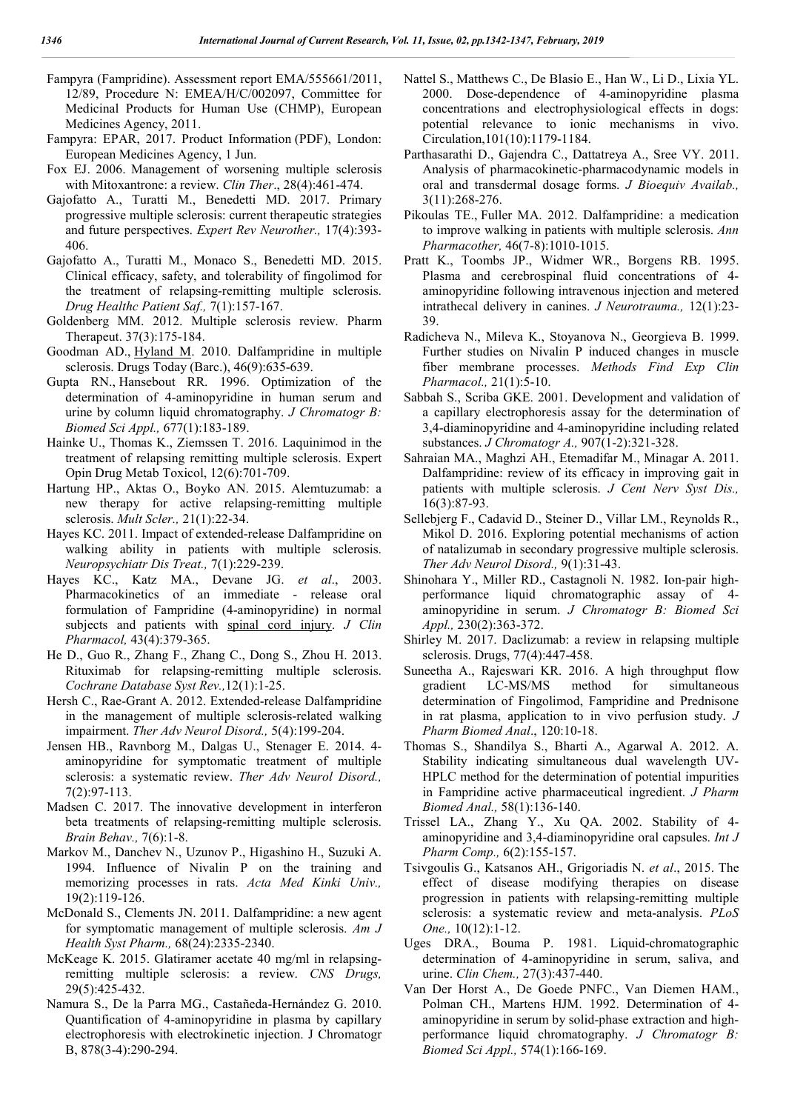- Fampyra (Fampridine). Assessment report EMA/555661/2011, 12/89, Procedure N: EMEA/H/C/002097, Committee for Medicinal Products for Human Use (CHMP), European Medicines Agency, 2011.
- Fampyra: EPAR, 2017. Product Information (PDF), London: European Medicines Agency, 1 Jun.
- Fox EJ. 2006. Management of worsening multiple sclerosis with Mitoxantrone: a review. *Clin Ther*., 28(4):461-474.
- Gajofatto A., Turatti M., Benedetti MD. 2017. Primary progressive multiple sclerosis: current therapeutic strategies and future perspectives. *Expert Rev Neurother.,* 17(4):393- 406.
- Gajofatto A., Turatti M., Monaco S., Benedetti MD. 2015. Clinical efficacy, safety, and tolerability of fingolimod for the treatment of relapsing-remitting multiple sclerosis. *Drug Healthc Patient Saf.,* 7(1):157-167.
- Goldenberg MM. 2012. Multiple sclerosis review. Pharm Therapeut. 37(3):175-184.
- Goodman AD., Hyland M. 2010. Dalfampridine in multiple sclerosis. Drugs Today (Barc.), 46(9):635-639.
- Gupta RN., Hansebout RR. 1996. Optimization of the determination of 4-aminopyridine in human serum and urine by column liquid chromatography. *J Chromatogr B: Biomed Sci Appl.,* 677(1):183-189.
- Hainke U., Thomas K., Ziemssen T. 2016. Laquinimod in the treatment of relapsing remitting multiple sclerosis. Expert Opin Drug Metab Toxicol, 12(6):701-709.
- Hartung HP., Aktas O., Boyko AN. 2015. Alemtuzumab: a new therapy for active relapsing-remitting multiple sclerosis. *Mult Scler.,* 21(1):22-34.
- Hayes KC. 2011. Impact of extended-release Dalfampridine on walking ability in patients with multiple sclerosis. *Neuropsychiatr Dis Treat.,* 7(1):229-239.
- Hayes KC., Katz MA., Devane JG. *et al*., 2003. Pharmacokinetics of an immediate - release oral formulation of Fampridine (4-aminopyridine) in normal subjects and patients with spinal cord injury. *J Clin Pharmacol,* 43(4):379-365.
- He D., Guo R., Zhang F., Zhang C., Dong S., Zhou H. 2013. Rituximab for relapsing-remitting multiple sclerosis. *Cochrane Database Syst Rev.,*12(1):1-25.
- Hersh C., Rae-Grant A. 2012. Extended-release Dalfampridine in the management of multiple sclerosis-related walking impairment. *Ther Adv Neurol Disord.,* 5(4):199-204.
- Jensen HB., Ravnborg M., Dalgas U., Stenager E. 2014. 4 aminopyridine for symptomatic treatment of multiple sclerosis: a systematic review. *Ther Adv Neurol Disord.,* 7(2):97-113.
- Madsen C. 2017. The innovative development in interferon beta treatments of relapsing-remitting multiple sclerosis. *Brain Behav.,* 7(6):1-8.
- Markov M., Danchev N., Uzunov P., Higashino H., Suzuki A. 1994. Influence of Nivalin P on the training and memorizing processes in rats. *Acta Med Kinki Univ.,* 19(2):119-126.
- McDonald S., Clements JN. 2011. Dalfampridine: a new agent for symptomatic management of multiple sclerosis. *Am J Health Syst Pharm.,* 68(24):2335-2340.
- McKeage K. 2015. Glatiramer acetate 40 mg/ml in relapsingremitting multiple sclerosis: a review. *CNS Drugs,* 29(5):425-432.
- Namura S., De la Parra MG., Castañeda-Hernández G. 2010. Quantification of 4-aminopyridine in plasma by capillary electrophoresis with electrokinetic injection. J Chromatogr B, 878(3-4):290-294.
- Nattel S., Matthews C., De Blasio E., Han W., Li D., Lixia YL. 2000. Dose-dependence of 4-aminopyridine plasma concentrations and electrophysiological effects in dogs: potential relevance to ionic mechanisms in vivo. Circulation,101(10):1179-1184.
- Parthasarathi D., Gajendra C., Dattatreya A., Sree VY. 2011. Analysis of pharmacokinetic-pharmacodynamic models in oral and transdermal dosage forms. *J Bioequiv Availab.,* 3(11):268-276.
- Pikoulas TE., Fuller MA. 2012. Dalfampridine: a medication to improve walking in patients with multiple sclerosis. *Ann Pharmacother,* 46(7-8):1010-1015.
- Pratt K., Toombs JP., Widmer WR., Borgens RB. 1995. Plasma and cerebrospinal fluid concentrations of 4 aminopyridine following intravenous injection and metered intrathecal delivery in canines. *J Neurotrauma.,* 12(1):23- 39.
- Radicheva N., Mileva K., Stoyanova N., Georgieva B. 1999. Further studies on Nivalin P induced changes in muscle fiber membrane processes. *Methods Find Exp Clin Pharmacol.,* 21(1):5-10.
- Sabbah S., Scriba GKE. 2001. Development and validation of a capillary electrophoresis assay for the determination of 3,4-diaminopyridine and 4-aminopyridine including related substances. *J Chromatogr A.,* 907(1-2):321-328.
- Sahraian MA., Maghzi AH., Etemadifar M., Minagar A. 2011. Dalfampridine: review of its efficacy in improving gait in patients with multiple sclerosis. *J Cent Nerv Syst Dis.,* 16(3):87-93.
- Sellebjerg F., Cadavid D., Steiner D., Villar LM., Reynolds R., Mikol D. 2016. Exploring potential mechanisms of action of natalizumab in secondary progressive multiple sclerosis. *Ther Adv Neurol Disord.,* 9(1):31-43.
- Shinohara Y., Miller RD., Castagnoli N. 1982. Ion-pair highperformance liquid chromatographic assay of 4 aminopyridine in serum. *J Chromatogr B: Biomed Sci Appl.,* 230(2):363-372.
- Shirley M. 2017. Daclizumab: a review in relapsing multiple sclerosis. Drugs, 77(4):447-458.
- Suneetha A., Rajeswari KR. 2016. A high throughput flow gradient LC-MS/MS method for simultaneous determination of Fingolimod, Fampridine and Prednisone in rat plasma, application to in vivo perfusion study. *J Pharm Biomed Anal*., 120:10-18.
- Thomas S., Shandilya S., Bharti A., Agarwal A. 2012. A. Stability indicating simultaneous dual wavelength UV-HPLC method for the determination of potential impurities in Fampridine active pharmaceutical ingredient. *J Pharm Biomed Anal.,* 58(1):136-140.
- Trissel LA., Zhang Y., Xu QA. 2002. Stability of 4 aminopyridine and 3,4-diaminopyridine oral capsules. *Int J Pharm Comp.,* 6(2):155-157.
- Tsivgoulis G., Katsanos AH., Grigoriadis N. *et al*., 2015. The effect of disease modifying therapies on disease progression in patients with relapsing-remitting multiple sclerosis: a systematic review and meta-analysis. *PLoS One.,* 10(12):1-12.
- Uges DRA., Bouma P. 1981. Liquid-chromatographic determination of 4-aminopyridine in serum, saliva, and urine. *Clin Chem.,* 27(3):437-440.
- Van Der Horst A., De Goede PNFC., Van Diemen HAM., Polman CH., Martens HJM. 1992. Determination of 4 aminopyridine in serum by solid-phase extraction and highperformance liquid chromatography. *J Chromatogr B: Biomed Sci Appl.,* 574(1):166-169.